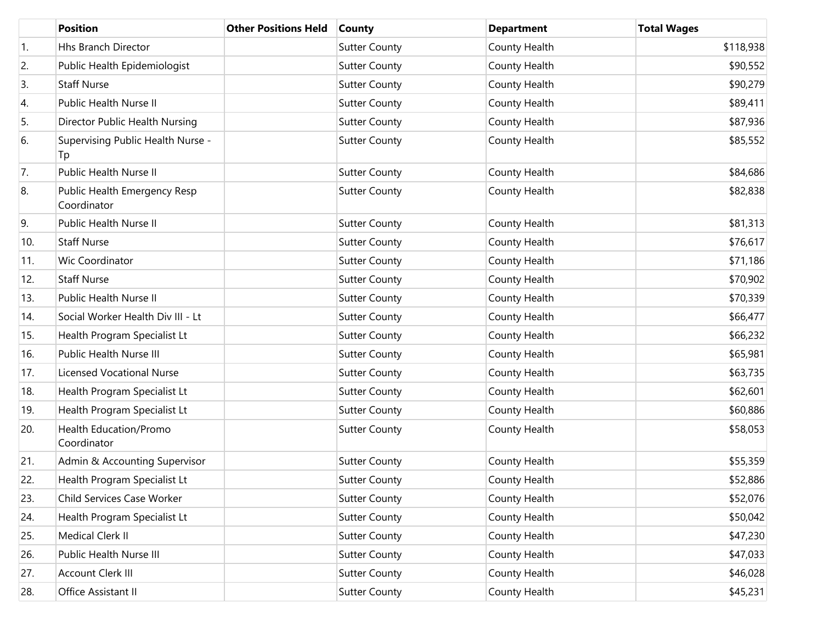|     | <b>Position</b>                             | <b>Other Positions Held</b> | <b>County</b>        | <b>Department</b> | <b>Total Wages</b> |
|-----|---------------------------------------------|-----------------------------|----------------------|-------------------|--------------------|
| 1.  | Hhs Branch Director                         |                             | <b>Sutter County</b> | County Health     | \$118,938          |
| 2.  | Public Health Epidemiologist                |                             | <b>Sutter County</b> | County Health     | \$90,552           |
| 3.  | <b>Staff Nurse</b>                          |                             | <b>Sutter County</b> | County Health     | \$90,279           |
| 4.  | Public Health Nurse II                      |                             | <b>Sutter County</b> | County Health     | \$89,411           |
| 5.  | Director Public Health Nursing              |                             | <b>Sutter County</b> | County Health     | \$87,936           |
| 6.  | Supervising Public Health Nurse -<br>Tp     |                             | <b>Sutter County</b> | County Health     | \$85,552           |
| 7.  | Public Health Nurse II                      |                             | <b>Sutter County</b> | County Health     | \$84,686           |
| 8.  | Public Health Emergency Resp<br>Coordinator |                             | <b>Sutter County</b> | County Health     | \$82,838           |
| 9.  | Public Health Nurse II                      |                             | <b>Sutter County</b> | County Health     | \$81,313           |
| 10. | <b>Staff Nurse</b>                          |                             | <b>Sutter County</b> | County Health     | \$76,617           |
| 11. | Wic Coordinator                             |                             | <b>Sutter County</b> | County Health     | \$71,186           |
| 12. | <b>Staff Nurse</b>                          |                             | <b>Sutter County</b> | County Health     | \$70,902           |
| 13. | Public Health Nurse II                      |                             | <b>Sutter County</b> | County Health     | \$70,339           |
| 14. | Social Worker Health Div III - Lt           |                             | <b>Sutter County</b> | County Health     | \$66,477           |
| 15. | Health Program Specialist Lt                |                             | <b>Sutter County</b> | County Health     | \$66,232           |
| 16. | Public Health Nurse III                     |                             | <b>Sutter County</b> | County Health     | \$65,981           |
| 17. | <b>Licensed Vocational Nurse</b>            |                             | <b>Sutter County</b> | County Health     | \$63,735           |
| 18. | Health Program Specialist Lt                |                             | <b>Sutter County</b> | County Health     | \$62,601           |
| 19. | Health Program Specialist Lt                |                             | <b>Sutter County</b> | County Health     | \$60,886           |
| 20. | Health Education/Promo<br>Coordinator       |                             | <b>Sutter County</b> | County Health     | \$58,053           |
| 21. | Admin & Accounting Supervisor               |                             | <b>Sutter County</b> | County Health     | \$55,359           |
| 22. | Health Program Specialist Lt                |                             | <b>Sutter County</b> | County Health     | \$52,886           |
| 23. | Child Services Case Worker                  |                             | <b>Sutter County</b> | County Health     | \$52,076           |
| 24. | Health Program Specialist Lt                |                             | <b>Sutter County</b> | County Health     | \$50,042           |
| 25. | Medical Clerk II                            |                             | <b>Sutter County</b> | County Health     | \$47,230           |
| 26. | Public Health Nurse III                     |                             | <b>Sutter County</b> | County Health     | \$47,033           |
| 27. | Account Clerk III                           |                             | <b>Sutter County</b> | County Health     | \$46,028           |
| 28. | Office Assistant II                         |                             | <b>Sutter County</b> | County Health     | \$45,231           |